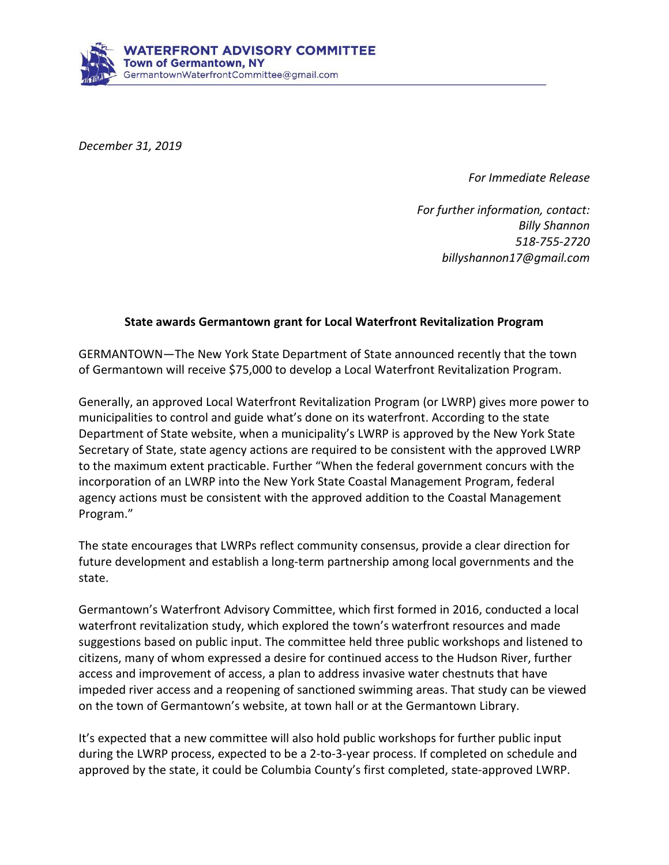

*December 31, 2019*

*For Immediate Release*

*For further information, contact: Billy Shannon 518-755-2720 billyshannon17@gmail.com*

## **State awards Germantown grant for Local Waterfront Revitalization Program**

GERMANTOWN—The New York State Department of State announced recently that the town of Germantown will receive \$75,000 to develop a Local Waterfront Revitalization Program.

Generally, an approved Local Waterfront Revitalization Program (or LWRP) gives more power to municipalities to control and guide what's done on its waterfront. According to the state Department of State website, when a municipality's LWRP is approved by the New York State Secretary of State, state agency actions are required to be consistent with the approved LWRP to the maximum extent practicable. Further "When the federal government concurs with the incorporation of an LWRP into the New York State Coastal Management Program, federal agency actions must be consistent with the approved addition to the Coastal Management Program."

The state encourages that LWRPs reflect community consensus, provide a clear direction for future development and establish a long-term partnership among local governments and the state.

Germantown's Waterfront Advisory Committee, which first formed in 2016, conducted a local waterfront revitalization study, which explored the town's waterfront resources and made suggestions based on public input. The committee held three public workshops and listened to citizens, many of whom expressed a desire for continued access to the Hudson River, further access and improvement of access, a plan to address invasive water chestnuts that have impeded river access and a reopening of sanctioned swimming areas. That study can be viewed on the town of Germantown's website, at town hall or at the Germantown Library.

It's expected that a new committee will also hold public workshops for further public input during the LWRP process, expected to be a 2-to-3-year process. If completed on schedule and approved by the state, it could be Columbia County's first completed, state-approved LWRP.